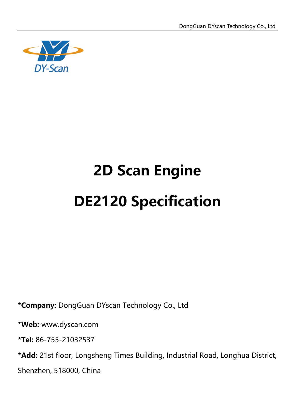

# **2D Scan Engine DE2120 Specification**

**\*Company:** DongGuan DYscan Technology Co., Ltd

**\*Web:** www.dyscan.com

**\*Tel:** 86-755-21032537

**\*Add:** 21st floor, Longsheng Times Building, Industrial Road, Longhua District,

Shenzhen, 518000, China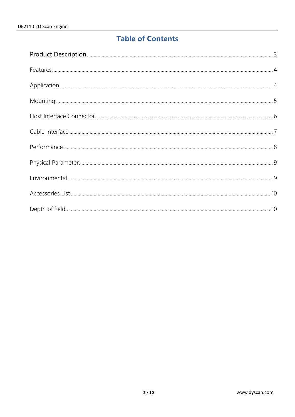## **Table of Contents**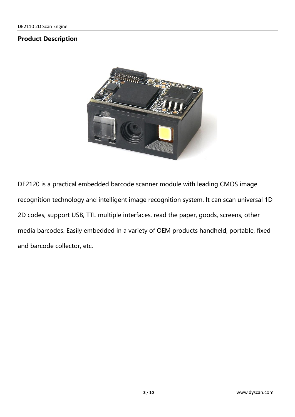#### <span id="page-2-0"></span>**Product Description**



DE2120 is a practical embedded barcode scanner module with leading CMOS image recognition technology and intelligent image recognition system. It can scan universal 1D 2D codes, support USB, TTL multiple interfaces, read the paper, goods, screens, other media barcodes. Easily embedded in a variety of OEM products handheld, portable, fixed and barcode collector, etc.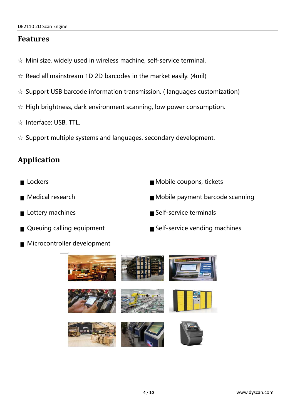#### <span id="page-3-0"></span>**Features**

- ☆ Mini size, widely used in wireless machine, self-service terminal.
- $\alpha$  Read all mainstream 1D 2D barcodes in the market easily. (4mil)
- ☆ Support USB barcode information transmission. ( languages customization)
- $\hat{\mathcal{R}}$  High brightness, dark environment scanning, low power consumption.
- ☆ Interface: USB, TTL.
- ☆ Support multiple systems and languages, secondary development.

## <span id="page-3-1"></span>**Application**

- 
- 
- 
- 
- Microcontroller development
- Lockers Mobile coupons, tickets
- Medical research ■ Mobile payment barcode scanning
- Lottery machines Self-service terminals
- Queuing calling equipment Self-service vending machines

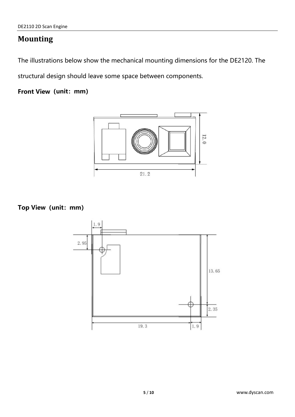## <span id="page-4-0"></span>**Mounting**

The illustrations below show the mechanical mounting dimensions for the DE2120. The

structural design should leave some space between components.

**Front View(unit:mm)**



**Top View(unit:mm)**

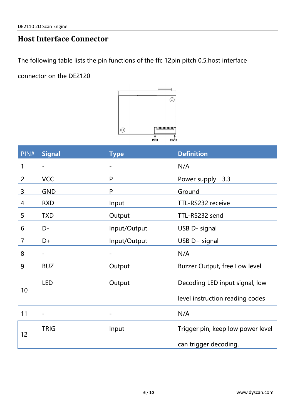## <span id="page-5-0"></span>**Host Interface Connector**

The following table lists the pin functions of the ffc 12pin pitch 0.5,host interface

connector on the DE2120



| PIN# | <b>Signal</b> | <b>Type</b>                  | <b>Definition</b>                 |  |
|------|---------------|------------------------------|-----------------------------------|--|
| 1    |               |                              | N/A                               |  |
| 2    | <b>VCC</b>    | P                            | Power supply<br>3.3               |  |
| 3    | <b>GND</b>    | P                            | Ground                            |  |
| 4    | <b>RXD</b>    | Input                        | TTL-RS232 receive                 |  |
| 5    | <b>TXD</b>    | Output                       | TTL-RS232 send                    |  |
| 6    | D-            | Input/Output                 | USB D- signal                     |  |
| 7    | D+            | Input/Output                 | USB D+ signal                     |  |
| 8    |               |                              | N/A                               |  |
| 9    | <b>BUZ</b>    | Output                       | Buzzer Output, free Low level     |  |
| 10   | <b>LED</b>    | Output                       | Decoding LED input signal, low    |  |
|      |               |                              | level instruction reading codes   |  |
| 11   |               | $\qquad \qquad \blacksquare$ | N/A                               |  |
| 12   | <b>TRIG</b>   | Input                        | Trigger pin, keep low power level |  |
|      |               |                              | can trigger decoding.             |  |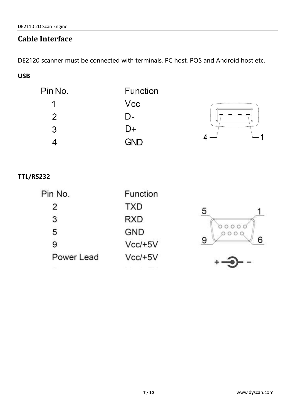## <span id="page-6-0"></span>**Cable Interface**

DE2120 scanner must be connected with terminals, PC host, POS and Android host etc.

### **USB**

| Pin No.       | Function   |  |
|---------------|------------|--|
|               | Vcc        |  |
| $\mathcal{P}$ | D-         |  |
| 3             | D+         |  |
|               | <b>GND</b> |  |

#### **TTL/RS232**

| Pin No.    | Function   |
|------------|------------|
| 2          | <b>TXD</b> |
| 3          | RXD        |
| 5          | GND        |
| 9          | $Vcc/+5V$  |
| Power Lead | $Vcc/+5V$  |

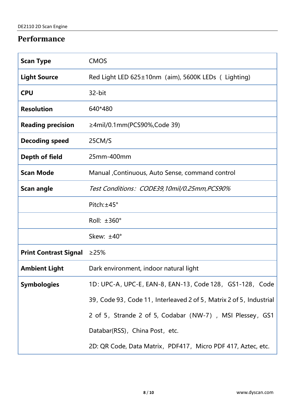## <span id="page-7-0"></span>**Performance**

| <b>Scan Type</b>             | <b>CMOS</b>                                                         |  |
|------------------------------|---------------------------------------------------------------------|--|
| <b>Light Source</b>          | Red Light LED 625±10nm (aim), 5600K LEDs (Lighting)                 |  |
| <b>CPU</b>                   | 32-bit                                                              |  |
| <b>Resolution</b>            | 640*480                                                             |  |
| <b>Reading precision</b>     | ≥4mil/0.1mm(PCS90%,Code 39)                                         |  |
| <b>Decoding speed</b>        | 25CM/S                                                              |  |
| Depth of field               | 25mm-400mm                                                          |  |
| <b>Scan Mode</b>             | Manual Continuous, Auto Sense, command control                      |  |
| <b>Scan angle</b>            | Test Conditions: CODE39,10mil/0.25mm,PCS90%                         |  |
|                              | Pitch: ±45°                                                         |  |
|                              | Roll: ±360°                                                         |  |
|                              | Skew: ±40°                                                          |  |
| <b>Print Contrast Signal</b> | $\geq$ 25%                                                          |  |
| <b>Ambient Light</b>         | Dark environment, indoor natural light                              |  |
| <b>Symbologies</b>           | 1D: UPC-A, UPC-E, EAN-8, EAN-13, Code 128, GS1-128, Code            |  |
|                              | 39, Code 93, Code 11, Interleaved 2 of 5, Matrix 2 of 5, Industrial |  |
|                              | 2 of 5, Strande 2 of 5, Codabar (NW-7), MSI Plessey, GS1            |  |
|                              | Databar(RSS), China Post, etc.                                      |  |
|                              | 2D: QR Code, Data Matrix, PDF417, Micro PDF 417, Aztec, etc.        |  |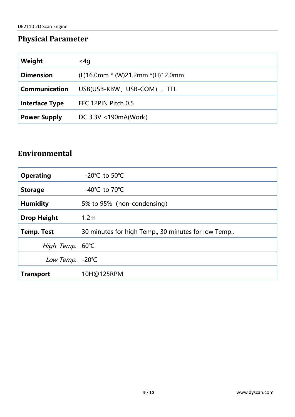## <span id="page-8-0"></span>**Physical Parameter**

| Weight                | <4g                                  |
|-----------------------|--------------------------------------|
| <b>Dimension</b>      | $(L)16.0$ mm * (W)21.2mm * (H)12.0mm |
| Communication         | USB(USB-KBW、USB-COM), TTL            |
| <b>Interface Type</b> | FFC 12PIN Pitch 0.5                  |
| <b>Power Supply</b>   | DC 3.3V <190mA(Work)                 |

## <span id="page-8-1"></span>**Environmental**

| <b>Operating</b>   | -20 $^{\circ}$ C to 50 $^{\circ}$ C                  |
|--------------------|------------------------------------------------------|
| <b>Storage</b>     | -40 $^{\circ}$ C to 70 $^{\circ}$ C                  |
| <b>Humidity</b>    | 5% to 95% (non-condensing)                           |
| <b>Drop Height</b> | 1.2 <sub>m</sub>                                     |
| <b>Temp. Test</b>  | 30 minutes for high Temp., 30 minutes for low Temp., |
| High Temp. 60°C    |                                                      |
| Low Temp. - 20°C   |                                                      |
| <b>Transport</b>   | 10H@125RPM                                           |